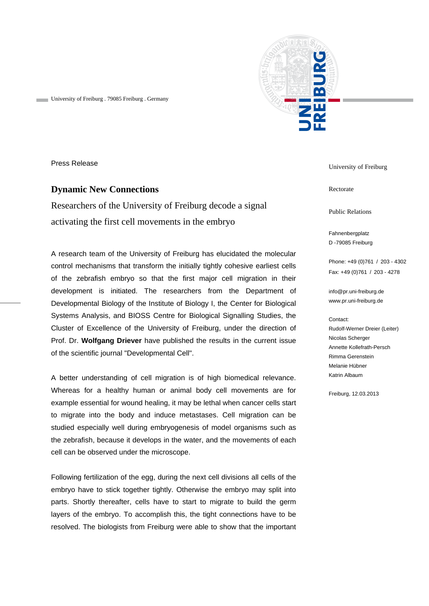

University of Freiburg . 79085 Freiburg . Germany

Press Release

## **Dynamic New Connections**

Researchers of the University of Freiburg decode a signal activating the first cell movements in the embryo

A research team of the University of Freiburg has elucidated the molecular control mechanisms that transform the initially tightly cohesive earliest cells of the zebrafish embryo so that the first major cell migration in their development is initiated. The researchers from the Department of Developmental Biology of the Institute of Biology I, the Center for Biological Systems Analysis, and BIOSS Centre for Biological Signalling Studies, the Cluster of Excellence of the University of Freiburg, under the direction of Prof. Dr. **Wolfgang Driever** have published the results in the current issue of the scientific journal "Developmental Cell".

A better understanding of cell migration is of high biomedical relevance. Whereas for a healthy human or animal body cell movements are for example essential for wound healing, it may be lethal when cancer cells start to migrate into the body and induce metastases. Cell migration can be studied especially well during embryogenesis of model organisms such as the zebrafish, because it develops in the water, and the movements of each cell can be observed under the microscope.

Following fertilization of the egg, during the next cell divisions all cells of the embryo have to stick together tightly. Otherwise the embryo may split into parts. Shortly thereafter, cells have to start to migrate to build the germ layers of the embryo. To accomplish this, the tight connections have to be resolved. The biologists from Freiburg were able to show that the important University of Freiburg

Rectorate

Public Relations

Fahnenbergplatz D -79085 Freiburg

Phone: +49 (0)761 / 203 - 4302 Fax: +49 (0)761 / 203 - 4278

info@pr.uni-freiburg.de www.pr.uni-freiburg.de

## Contact:

Rudolf-Werner Dreier (Leiter) Nicolas Scherger Annette Kollefrath-Persch Rimma Gerenstein Melanie Hübner Katrin Albaum

Freiburg, 12.03.2013